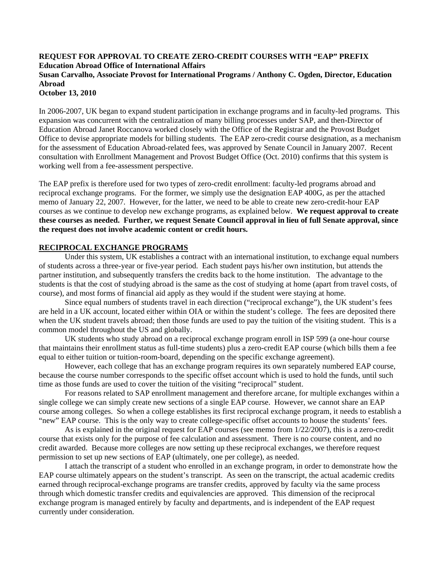## **REQUEST FOR APPROVAL TO CREATE ZERO-CREDIT COURSES WITH "EAP" PREFIX Education Abroad Office of International Affairs Susan Carvalho, Associate Provost for International Programs / Anthony C. Ogden, Director, Education Abroad October 13, 2010**

In 2006-2007, UK began to expand student participation in exchange programs and in faculty-led programs. This expansion was concurrent with the centralization of many billing processes under SAP, and then-Director of Education Abroad Janet Roccanova worked closely with the Office of the Registrar and the Provost Budget Office to devise appropriate models for billing students. The EAP zero-credit course designation, as a mechanism for the assessment of Education Abroad-related fees, was approved by Senate Council in January 2007. Recent consultation with Enrollment Management and Provost Budget Office (Oct. 2010) confirms that this system is working well from a fee-assessment perspective.

The EAP prefix is therefore used for two types of zero-credit enrollment: faculty-led programs abroad and reciprocal exchange programs. For the former, we simply use the designation EAP 400G, as per the attached memo of January 22, 2007. However, for the latter, we need to be able to create new zero-credit-hour EAP courses as we continue to develop new exchange programs, as explained below. **We request approval to create these courses as needed. Further, we request Senate Council approval in lieu of full Senate approval, since the request does not involve academic content or credit hours.**

## **RECIPROCAL EXCHANGE PROGRAMS**

Under this system, UK establishes a contract with an international institution, to exchange equal numbers of students across a three-year or five-year period. Each student pays his/her own institution, but attends the partner institution, and subsequently transfers the credits back to the home institution. The advantage to the students is that the cost of studying abroad is the same as the cost of studying at home (apart from travel costs, of course), and most forms of financial aid apply as they would if the student were staying at home.

Since equal numbers of students travel in each direction ("reciprocal exchange"), the UK student's fees are held in a UK account, located either within OIA or within the student's college. The fees are deposited there when the UK student travels abroad; then those funds are used to pay the tuition of the visiting student. This is a common model throughout the US and globally.

UK students who study abroad on a reciprocal exchange program enroll in ISP 599 (a one-hour course that maintains their enrollment status as full-time students) plus a zero-credit EAP course (which bills them a fee equal to either tuition or tuition-room-board, depending on the specific exchange agreement).

However, each college that has an exchange program requires its own separately numbered EAP course, because the course number corresponds to the specific offset account which is used to hold the funds, until such time as those funds are used to cover the tuition of the visiting "reciprocal" student.

For reasons related to SAP enrollment management and therefore arcane, for multiple exchanges within a single college we can simply create new sections of a single EAP course. However, we cannot share an EAP course among colleges. So when a college establishes its first reciprocal exchange program, it needs to establish a "new" EAP course. This is the only way to create college-specific offset accounts to house the students' fees.

As is explained in the original request for EAP courses (see memo from 1/22/2007), this is a zero-credit course that exists only for the purpose of fee calculation and assessment. There is no course content, and no credit awarded. Because more colleges are now setting up these reciprocal exchanges, we therefore request permission to set up new sections of EAP (ultimately, one per college), as needed.

I attach the transcript of a student who enrolled in an exchange program, in order to demonstrate how the EAP course ultimately appears on the student's transcript. As seen on the transcript, the actual academic credits earned through reciprocal-exchange programs are transfer credits, approved by faculty via the same process through which domestic transfer credits and equivalencies are approved. This dimension of the reciprocal exchange program is managed entirely by faculty and departments, and is independent of the EAP request currently under consideration.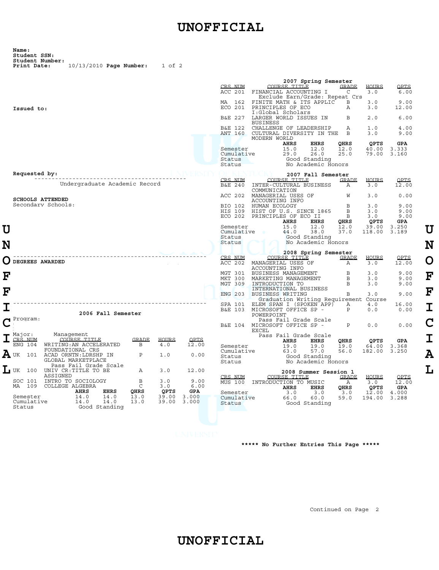## **UNOFFICIAL**

| Name:                           |                           |  |            |  |
|---------------------------------|---------------------------|--|------------|--|
| Student SSN:<br>Student Number: |                           |  |            |  |
| Print Date:                     | $10/13/2010$ Page Number: |  | $1$ of $2$ |  |

|   |                                                                           |                | 2007 Spring Semester                                                 |            |
|---|---------------------------------------------------------------------------|----------------|----------------------------------------------------------------------|------------|
|   |                                                                           | CRS NIM        | COURSE TITLE<br><b>GRADE</b><br><b>HOURS</b>                         | OPTS       |
|   |                                                                           | ACC 201        | C<br>3.0<br>FINANCIAL ACCOUNTING I                                   | 6.00       |
|   |                                                                           |                | Exclude Earn/Grade: Repeat Crs                                       |            |
|   |                                                                           | MA<br>162      | FINITE MATH & ITS APPLIC<br>3.0<br>B                                 | 9.00       |
|   | Issued to:                                                                | ECO 201        | PRINCIPLES OF ECO<br>3.0<br>Α                                        | 12.00      |
|   |                                                                           |                | I:Global Scholars                                                    |            |
|   |                                                                           | B&E 227        | 2.0<br>LARGER WORLD ISSUES IN<br>В                                   | 6.00       |
|   |                                                                           |                | <b>BUSINESS</b>                                                      |            |
|   |                                                                           | B&E 122        | CHALLENGE OF LEADERSHIP<br>Α<br>1.0                                  | 4.00       |
|   |                                                                           | <b>ANT 160</b> | B<br>CULTURAL DIVERSITY IN THE<br>3.0                                | 9.00       |
|   |                                                                           |                | MODERN WORLD<br><b>QPTS</b>                                          | <b>GPA</b> |
|   |                                                                           | Semester       | AHRS<br>EHRS<br>QHRS<br>15.0<br>12.0<br>12.0<br>40.00<br>3.333       |            |
|   |                                                                           | Cumulative     | 29.0<br>26.0<br>25.0<br>79.00<br>3.160                               |            |
|   |                                                                           | Status         | Good Standing                                                        |            |
|   |                                                                           | Status         | No Academic Honors                                                   |            |
|   |                                                                           |                |                                                                      |            |
|   | Requested by:                                                             |                | 2007 Fall Semester                                                   |            |
|   |                                                                           | CRS NIM        | COURSE TITLE<br><b>GRADE</b><br>HOURS                                | OPTS       |
|   | Undergraduate Academic Record                                             | B&E 240        | INTER-CULTURAL BUSINESS<br>3.0<br>Α                                  | 12.00      |
|   |                                                                           |                | COMMUNICATION                                                        |            |
|   |                                                                           | ACC 202        | MANAGERIAL USES OF<br>W<br>3.0                                       | 0.00       |
|   | <b>SCHOOLS ATTENDED</b>                                                   |                | ACCOUNTING INFO                                                      |            |
|   | Secondary Schools:                                                        | BIO 102        | HUMAN ECOLOGY<br>B<br>3.0                                            | 9.00       |
|   |                                                                           | HIS 109        | HIST OF U.S. SINCE 1865<br>B<br>3.0                                  | 9.00       |
|   |                                                                           | ECO 202        | B<br>PRINCIPLES OF ECO II<br>3.0                                     | 9.00       |
|   |                                                                           |                | <b>AHRS</b><br><b>EHRS</b><br>OHRS<br><b>QPTS</b>                    | <b>GPA</b> |
| U |                                                                           | Semester       | 15.0<br>12.0<br>12.0<br>39.00<br>3.250                               |            |
|   |                                                                           | Cumulative     | 44.0<br>38.0<br>118.00<br>37.0<br>3.189                              |            |
|   |                                                                           | Status         | Good Standing                                                        |            |
| N |                                                                           | Status         | No Academic Honors                                                   |            |
|   |                                                                           |                |                                                                      |            |
|   |                                                                           |                |                                                                      |            |
|   |                                                                           |                | 2008 Spring Semester                                                 |            |
|   |                                                                           | CRS NIM        | COURSE TITLE<br><b>GRADE</b><br><b>HOURS</b>                         | OPTS       |
|   | DEGREES AWARDED                                                           | ACC 202        | MANAGERIAL USES OF<br>3.0<br>А                                       | 12.00      |
|   |                                                                           |                | ACCOUNTING INFO                                                      |            |
|   |                                                                           | MGT 301        | B<br>BUSINESS MANAGEMENT<br>3.0                                      | 9.00       |
| F |                                                                           | MKT<br>300     | MARKETING MANAGEMENT<br>B<br>3.0                                     | 9.00       |
|   |                                                                           | MGT 309        | INTRODUCTION TO<br>B<br>3.0                                          | 9.00       |
| F |                                                                           |                | INTERNATIONAL BUSINESS                                               |            |
|   |                                                                           | ENG 203        | В<br><b>BUSINESS WRITING</b><br>3.0                                  | 9.00       |
|   |                                                                           | SPA 101        | Graduation Writing Requirement Course<br>Α                           | 16.00      |
|   |                                                                           | B&E 103        | ELEM SPAN I (SPOKEN APP)<br>4.0<br>P<br>MICROSOFT OFFICE SP -<br>0.0 | 0.00       |
|   | 2006 Fall Semester                                                        |                | POWERPOINT                                                           |            |
|   | Program:                                                                  |                | Pass Fail Grade Scale                                                |            |
|   |                                                                           | B&E 104        | $\mathsf{P}$<br>MICROSOFT OFFICE SP -<br>0.0                         | 0.00       |
|   |                                                                           |                | <b>EXCEL</b>                                                         |            |
|   | Major:<br>Management                                                      |                | Pass Fail Grade Scale                                                |            |
|   | CRS<br><b>GRADE</b><br><b>HOURS</b><br>OPTS<br><b>NUM</b><br>COURSE TITLE |                | <b>AHRS</b><br><b>EHRS</b><br><b>QPTS</b><br>QHRS                    | <b>GPA</b> |
|   | 12.00<br>ENG 104<br>B<br>4.0<br>WRITING: AN ACCELERATED                   | Semester       | 19.0<br>19.0<br>19.0<br>64.00<br>3.368                               |            |
|   | FOUNDATIONAL CRS                                                          | Cumulative     | 57.0<br>182.00<br>63.0<br>56.0<br>3.250                              |            |
|   | 101<br>ACAD ORNTN: LDRSHP IN<br>Ρ<br>1.0<br>0.00                          | Status         | Good Standing                                                        |            |
|   | GLOBAL MARKETPLACE<br>Pass Fail Grade Scale                               | Status         | No Academic Honors                                                   |            |
|   | 100<br>UNIV CR: TITLE TO BE<br>12.00<br><b>⊥</b> ∪k<br>Α<br>3.0           |                |                                                                      |            |
|   | ASSIGNED                                                                  | CRS NUM        | 2008 Summer Session 1<br>COURSE TITLE<br>HOURS                       | OPTS       |
|   | SOC 101<br>INTRO TO SOCIOLOGY<br>В<br>3.0<br>9.00                         | MUS 100        | <b>GRADE</b><br>INTRODUCTION TO MUSIC<br>3.0<br>Α                    | 12.00      |
|   | C<br>109<br>COLLEGE ALGEBRA<br>3.0<br>6.00<br>MA                          |                | <b>EHRS</b><br><b>AHRS</b><br>QHRS                                   | GPA        |
|   | <b>AHRS</b><br>QHRS<br>QPTS<br><b>GPA</b><br>EHRS                         | Semester       | QPTS<br>3.0<br>3.0<br>12.00<br>4.000<br>3.0                          |            |
|   | 14.0<br>13.0<br>Semester<br>14.0<br>39.00<br>3.000                        | Cumulative     | 60.0<br>66.0<br>59.0<br>194.00<br>3.288                              |            |
|   | 13.0<br>Cumulative<br>14.0<br>14.0<br>39.00<br>3.000                      | Status         | Good Standing                                                        |            |
|   | Status<br>Good Standing                                                   |                |                                                                      |            |

 **\*\*\*\*\* No Further Entries This Page \*\*\*\*\***

Continued on Page 2